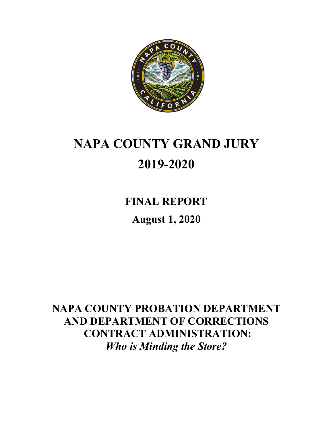

# **NAPA COUNTY GRAND JURY 2019-2020**

**FINAL REPORT August 1, 2020**

**NAPA COUNTY PROBATION DEPARTMENT AND DEPARTMENT OF CORRECTIONS CONTRACT ADMINISTRATION:** *Who is Minding the Store?*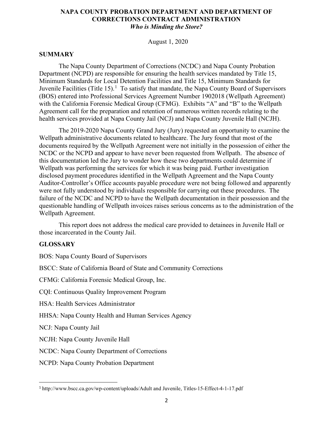## **NAPA COUNTY PROBATION DEPARTMENT AND DEPARTMENT OF CORRECTIONS CONTRACT ADMINISTRATION** *Who is Minding the Store?*

August 1, 2020

#### **SUMMARY**

The Napa County Department of Corrections (NCDC) and Napa County Probation Department (NCPD) are responsible for ensuring the health services mandated by Title 15, Minimum Standards for Local Detention Facilities and Title 15, Minimum Standards for Juvenile Facilities (Title [1](#page-1-0)5).<sup>1</sup> To satisfy that mandate, the Napa County Board of Supervisors (BOS) entered into Professional Services Agreement Number 1902018 (Wellpath Agreement) with the California Forensic Medical Group (CFMG). Exhibits "A" and "B" to the Wellpath Agreement call for the preparation and retention of numerous written records relating to the health services provided at Napa County Jail (NCJ) and Napa County Juvenile Hall (NCJH).

The 2019-2020 Napa County Grand Jury (Jury) requested an opportunity to examine the Wellpath administrative documents related to healthcare. The Jury found that most of the documents required by the Wellpath Agreement were not initially in the possession of either the NCDC or the NCPD and appear to have never been requested from Wellpath. The absence of this documentation led the Jury to wonder how these two departments could determine if Wellpath was performing the services for which it was being paid. Further investigation disclosed payment procedures identified in the Wellpath Agreement and the Napa County Auditor-Controller's Office accounts payable procedure were not being followed and apparently were not fully understood by individuals responsible for carrying out these procedures. The failure of the NCDC and NCPD to have the Wellpath documentation in their possession and the questionable handling of Wellpath invoices raises serious concerns as to the administration of the Wellpath Agreement.

This report does not address the medical care provided to detainees in Juvenile Hall or those incarcerated in the County Jail.

#### **GLOSSARY**

BOS: Napa County Board of Supervisors

BSCC: State of California Board of State and Community Corrections

CFMG: California Forensic Medical Group, Inc.

CQI: Continuous Quality Improvement Program

HSA: Health Services Administrator

HHSA: Napa County Health and Human Services Agency

NCJ: Napa County Jail

NCJH: Napa County Juvenile Hall

NCDC: Napa County Department of Corrections

NCPD: Napa County Probation Department

<span id="page-1-0"></span><sup>1</sup> <http://www.bscc.ca.gov/wp-content/uploads/Adult> and Juvenile, Titles-15-Effect-4-1-17.pdf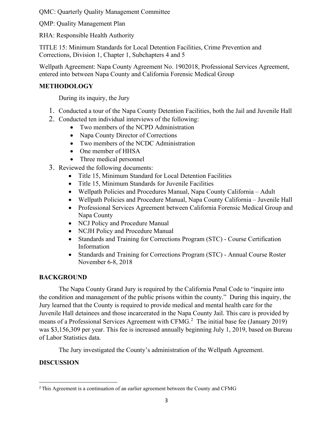QMC: Quarterly Quality Management Committee

QMP: Quality Management Plan

RHA: Responsible Health Authority

TITLE 15: Minimum Standards for Local Detention Facilities, Crime Prevention and Corrections, Division 1, Chapter 1, Subchapters 4 and 5

Wellpath Agreement: Napa County Agreement No. 1902018, Professional Services Agreement, entered into between Napa County and California Forensic Medical Group

# **METHODOLOGY**

During its inquiry, the Jury

- 1. Conducted a tour of the Napa County Detention Facilities, both the Jail and Juvenile Hall
- 2. Conducted ten individual interviews of the following:
	- Two members of the NCPD Administration
	- Napa County Director of Corrections
	- Two members of the NCDC Administration
	- One member of HHSA
	- Three medical personnel
- 3. Reviewed the following documents:
	- Title 15, Minimum Standard for Local Detention Facilities
	- Title 15, Minimum Standards for Juvenile Facilities
	- Wellpath Policies and Procedures Manual, Napa County California Adult
	- Wellpath Policies and Procedure Manual, Napa County California Juvenile Hall
	- Professional Services Agreement between California Forensic Medical Group and Napa County
	- NCJ Policy and Procedure Manual
	- NCJH Policy and Procedure Manual
	- Standards and Training for Corrections Program (STC) Course Certification Information
	- Standards and Training for Corrections Program (STC) Annual Course Roster November 6-8, 2018

# **BACKGROUND**

The Napa County Grand Jury is required by the California Penal Code to "inquire into the condition and management of the public prisons within the county." During this inquiry, the Jury learned that the County is required to provide medical and mental health care for the Juvenile Hall detainees and those incarcerated in the Napa County Jail. This care is provided by means of a Professional Services Agreement with CFMG.<sup>[2](#page-2-0)</sup> The initial base fee (January 2019) was \$3,156,309 per year. This fee is increased annually beginning July 1, 2019, based on Bureau of Labor Statistics data.

The Jury investigated the County's administration of the Wellpath Agreement.

# **DISCUSSION**

<span id="page-2-0"></span><sup>2</sup> This Agreement is a continuation of an earlier agreement between the County and CFMG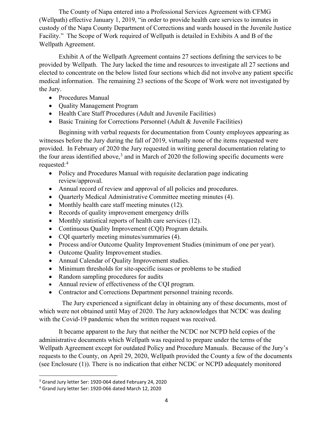The County of Napa entered into a Professional Services Agreement with CFMG (Wellpath) effective January 1, 2019, "in order to provide health care services to inmates in custody of the Napa County Department of Corrections and wards housed in the Juvenile Justice Facility." The Scope of Work required of Wellpath is detailed in Exhibits A and B of the Wellpath Agreement.

Exhibit A of the Wellpath Agreement contains 27 sections defining the services to be provided by Wellpath. The Jury lacked the time and resources to investigate all 27 sections and elected to concentrate on the below listed four sections which did not involve any patient specific medical information. The remaining 23 sections of the Scope of Work were not investigated by the Jury.

- Procedures Manual
- Quality Management Program
- Health Care Staff Procedures (Adult and Juvenile Facilities)
- Basic Training for Corrections Personnel (Adult & Juvenile Facilities)

Beginning with verbal requests for documentation from County employees appearing as witnesses before the Jury during the fall of 2019, virtually none of the items requested were provided. In February of 2020 the Jury requested in writing general documentation relating to the four areas identified above,<sup>[3](#page-3-0)</sup> and in March of 2020 the following specific documents were requested: [4](#page-3-1)

- Policy and Procedures Manual with requisite declaration page indicating review/approval.
- Annual record of review and approval of all policies and procedures.
- Quarterly Medical Administrative Committee meeting minutes (4).
- Monthly health care staff meeting minutes (12).
- Records of quality improvement emergency drills
- Monthly statistical reports of health care services (12).
- Continuous Quality Improvement (CQI) Program details.
- CQI quarterly meeting minutes/summaries (4).
- Process and/or Outcome Quality Improvement Studies (minimum of one per year).
- Outcome Quality Improvement studies.
- Annual Calendar of Quality Improvement studies.
- Minimum thresholds for site-specific issues or problems to be studied
- Random sampling procedures for audits
- Annual review of effectiveness of the CQI program.
- Contractor and Corrections Department personnel training records.

 The Jury experienced a significant delay in obtaining any of these documents, most of which were not obtained until May of 2020. The Jury acknowledges that NCDC was dealing with the Covid-19 pandemic when the written request was received.

It became apparent to the Jury that neither the NCDC nor NCPD held copies of the administrative documents which Wellpath was required to prepare under the terms of the Wellpath Agreement except for outdated Policy and Procedure Manuals. Because of the Jury's requests to the County, on April 29, 2020, Wellpath provided the County a few of the documents (see Enclosure (1)). There is no indication that either NCDC or NCPD adequately monitored

<span id="page-3-0"></span><sup>3</sup> Grand Jury letter Ser: 1920-064 dated February 24, 2020

<span id="page-3-1"></span><sup>4</sup> Grand Jury letter Ser: 1920-066 dated March 12, 2020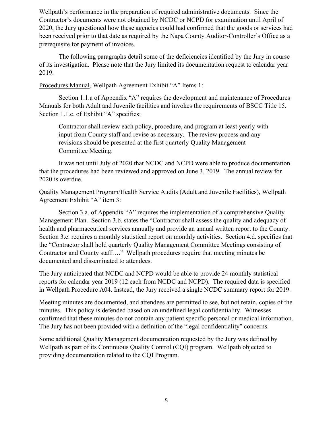Wellpath's performance in the preparation of required administrative documents. Since the Contractor's documents were not obtained by NCDC or NCPD for examination until April of 2020, the Jury questioned how these agencies could had confirmed that the goods or services had been received prior to that date as required by the Napa County Auditor-Controller's Office as a prerequisite for payment of invoices.

The following paragraphs detail some of the deficiencies identified by the Jury in course of its investigation. Please note that the Jury limited its documentation request to calendar year 2019.

Procedures Manual, Wellpath Agreement Exhibit "A" Items 1:

Section 1.1.a of Appendix "A" requires the development and maintenance of Procedures Manuals for both Adult and Juvenile facilities and invokes the requirements of BSCC Title 15. Section 1.1.c. of Exhibit "A" specifies:

Contractor shall review each policy, procedure, and program at least yearly with input from County staff and revise as necessary. The review process and any revisions should be presented at the first quarterly Quality Management Committee Meeting.

It was not until July of 2020 that NCDC and NCPD were able to produce documentation that the procedures had been reviewed and approved on June 3, 2019. The annual review for 2020 is overdue.

Quality Management Program/Health Service Audits (Adult and Juvenile Facilities), Wellpath Agreement Exhibit "A" item 3:

Section 3.a. of Appendix "A" requires the implementation of a comprehensive Quality Management Plan. Section 3.b. states the "Contractor shall assess the quality and adequacy of health and pharmaceutical services annually and provide an annual written report to the County. Section 3.c. requires a monthly statistical report on monthly activities. Section 4.d. specifies that the "Contractor shall hold quarterly Quality Management Committee Meetings consisting of Contractor and County staff…." Wellpath procedures require that meeting minutes be documented and disseminated to attendees.

The Jury anticipated that NCDC and NCPD would be able to provide 24 monthly statistical reports for calendar year 2019 (12 each from NCDC and NCPD). The required data is specified in Wellpath Procedure A04. Instead, the Jury received a single NCDC summary report for 2019.

Meeting minutes are documented, and attendees are permitted to see, but not retain, copies of the minutes. This policy is defended based on an undefined legal confidentiality. Witnesses confirmed that these minutes do not contain any patient specific personal or medical information. The Jury has not been provided with a definition of the "legal confidentiality" concerns.

Some additional Quality Management documentation requested by the Jury was defined by Wellpath as part of its Continuous Quality Control (CQI) program. Wellpath objected to providing documentation related to the CQI Program.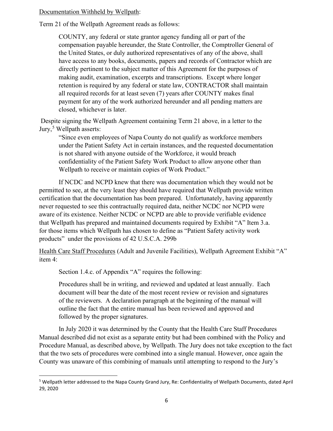## Documentation Withheld by Wellpath:

Term 21 of the Wellpath Agreement reads as follows:

COUNTY, any federal or state grantor agency funding all or part of the compensation payable hereunder, the State Controller, the Comptroller General of the United States, or duly authorized representatives of any of the above, shall have access to any books, documents, papers and records of Contractor which are directly pertinent to the subject matter of this Agreement for the purposes of making audit, examination, excerpts and transcriptions. Except where longer retention is required by any federal or state law, CONTRACTOR shall maintain all required records for at least seven (7) years after COUNTY makes final payment for any of the work authorized hereunder and all pending matters are closed, whichever is later.

Despite signing the Wellpath Agreement containing Term 21 above, in a letter to the Jury, [5](#page-5-0) Wellpath asserts:

"Since even employees of Napa County do not qualify as workforce members under the Patient Safety Act in certain instances, and the requested documentation is not shared with anyone outside of the Workforce, it would breach confidentiality of the Patient Safety Work Product to allow anyone other than Wellpath to receive or maintain copies of Work Product."

If NCDC and NCPD knew that there was documentation which they would not be permitted to see, at the very least they should have required that Wellpath provide written certification that the documentation has been prepared. Unfortunately, having apparently never requested to see this contractually required data, neither NCDC nor NCPD were aware of its existence. Neither NCDC or NCPD are able to provide verifiable evidence that Wellpath has prepared and maintained documents required by Exhibit "A" Item 3.a. for those items which Wellpath has chosen to define as "Patient Safety activity work products" under the provisions of 42 U.S.C.A. 299b

Health Care Staff Procedures (Adult and Juvenile Facilities), Wellpath Agreement Exhibit "A" item 4:

Section 1.4.c. of Appendix "A" requires the following:

Procedures shall be in writing, and reviewed and updated at least annually. Each document will bear the date of the most recent review or revision and signatures of the reviewers. A declaration paragraph at the beginning of the manual will outline the fact that the entire manual has been reviewed and approved and followed by the proper signatures.

In July 2020 it was determined by the County that the Health Care Staff Procedures Manual described did not exist as a separate entity but had been combined with the Policy and Procedure Manual, as described above, by Wellpath. The Jury does not take exception to the fact that the two sets of procedures were combined into a single manual. However, once again the County was unaware of this combining of manuals until attempting to respond to the Jury's

<span id="page-5-0"></span><sup>5</sup> Wellpath letter addressed to the Napa County Grand Jury, Re: Confidentiality of Wellpath Documents, dated April 29, 2020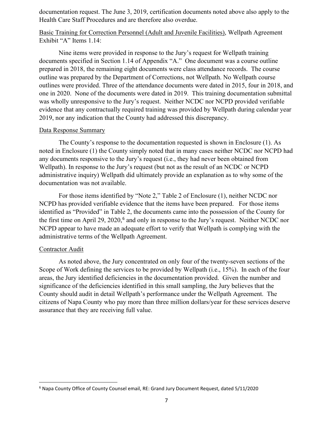documentation request. The June 3, 2019, certification documents noted above also apply to the Health Care Staff Procedures and are therefore also overdue.

Basic Training for Correction Personnel (Adult and Juvenile Facilities), Wellpath Agreement Exhibit "A" Items 1.14:

Nine items were provided in response to the Jury's request for Wellpath training documents specified in Section 1.14 of Appendix "A." One document was a course outline prepared in 2018, the remaining eight documents were class attendance records. The course outline was prepared by the Department of Corrections, not Wellpath. No Wellpath course outlines were provided. Three of the attendance documents were dated in 2015, four in 2018, and one in 2020. None of the documents were dated in 2019. This training documentation submittal was wholly unresponsive to the Jury's request. Neither NCDC nor NCPD provided verifiable evidence that any contractually required training was provided by Wellpath during calendar year 2019, nor any indication that the County had addressed this discrepancy.

## Data Response Summary

The County's response to the documentation requested is shown in Enclosure (1). As noted in Enclosure (1) the County simply noted that in many cases neither NCDC nor NCPD had any documents responsive to the Jury's request (i.e., they had never been obtained from Wellpath). In response to the Jury's request (but not as the result of an NCDC or NCPD administrative inquiry) Wellpath did ultimately provide an explanation as to why some of the documentation was not available.

For those items identified by "Note 2," Table 2 of Enclosure (1), neither NCDC nor NCPD has provided verifiable evidence that the items have been prepared. For those items identified as "Provided" in Table 2, the documents came into the possession of the County for the first time on April 29, 2020, [6](#page-6-0) and only in response to the Jury's request. Neither NCDC nor NCPD appear to have made an adequate effort to verify that Wellpath is complying with the administrative terms of the Wellpath Agreement.

# Contractor Audit

As noted above, the Jury concentrated on only four of the twenty-seven sections of the Scope of Work defining the services to be provided by Wellpath (i.e., 15%). In each of the four areas, the Jury identified deficiencies in the documentation provided. Given the number and significance of the deficiencies identified in this small sampling, the Jury believes that the County should audit in detail Wellpath's performance under the Wellpath Agreement. The citizens of Napa County who pay more than three million dollars/year for these services deserve assurance that they are receiving full value.

<span id="page-6-0"></span><sup>6</sup> Napa County Office of County Counsel email, RE: Grand Jury Document Request, dated 5/11/2020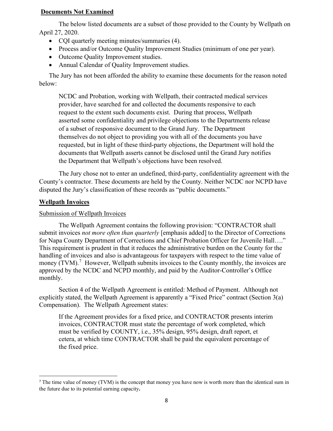## **Documents Not Examined**

The below listed documents are a subset of those provided to the County by Wellpath on April 27, 2020.

- COI quarterly meeting minutes/summaries (4).
- Process and/or Outcome Quality Improvement Studies (minimum of one per year).
- Outcome Quality Improvement studies.
- Annual Calendar of Quality Improvement studies.

The Jury has not been afforded the ability to examine these documents for the reason noted below:

NCDC and Probation, working with Wellpath, their contracted medical services provider, have searched for and collected the documents responsive to each request to the extent such documents exist. During that process, Wellpath asserted some confidentiality and privilege objections to the Departments release of a subset of responsive document to the Grand Jury. The Department themselves do not object to providing you with all of the documents you have requested, but in light of these third-party objections, the Department will hold the documents that Wellpath asserts cannot be disclosed until the Grand Jury notifies the Department that Wellpath's objections have been resolved.

The Jury chose not to enter an undefined, third-party, confidentiality agreement with the County's contractor. These documents are held by the County. Neither NCDC nor NCPD have disputed the Jury's classification of these records as "public documents."

## **Wellpath Invoices**

## Submission of Wellpath Invoices

The Wellpath Agreement contains the following provision: "CONTRACTOR shall submit invoices *not more often than quarterly* [emphasis added] to the Director of Corrections for Napa County Department of Corrections and Chief Probation Officer for Juvenile Hall…." This requirement is prudent in that it reduces the administrative burden on the County for the handling of invoices and also is advantageous for taxpayers with respect to the time value of money (TVM).<sup>[7](#page-7-0)</sup> However, Wellpath submits invoices to the County monthly, the invoices are approved by the NCDC and NCPD monthly, and paid by the Auditor-Controller's Office monthly.

Section 4 of the Wellpath Agreement is entitled: Method of Payment. Although not explicitly stated, the Wellpath Agreement is apparently a "Fixed Price" contract (Section 3(a) Compensation). The Wellpath Agreement states:

If the Agreement provides for a fixed price, and CONTRACTOR presents interim invoices, CONTRACTOR must state the percentage of work completed, which must be verified by COUNTY, i.e., 35% design, 95% design, draft report, et cetera, at which time CONTRACTOR shall be paid the equivalent percentage of the fixed price.

<span id="page-7-0"></span><sup>&</sup>lt;sup>7</sup> The time value of money (TVM) is the concept that money you have now is worth more than the identical sum in the future due to its potential earning capacity**.**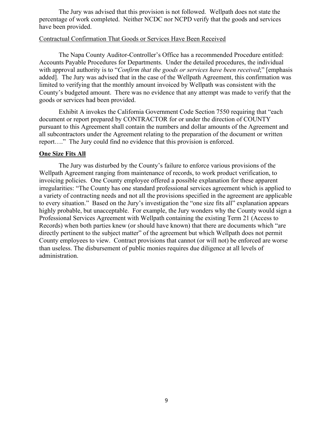The Jury was advised that this provision is not followed. Wellpath does not state the percentage of work completed. Neither NCDC nor NCPD verify that the goods and services have been provided.

#### Contractual Confirmation That Goods or Services Have Been Received

The Napa County Auditor-Controller's Office has a recommended Procedure entitled: Accounts Payable Procedures for Departments. Under the detailed procedures, the individual with approval authority is to "*Confirm that the goods or services have been received*;" [emphasis added]. The Jury was advised that in the case of the Wellpath Agreement, this confirmation was limited to verifying that the monthly amount invoiced by Wellpath was consistent with the County's budgeted amount. There was no evidence that any attempt was made to verify that the goods or services had been provided.

Exhibit A invokes the California Government Code Section 7550 requiring that "each document or report prepared by CONTRACTOR for or under the direction of COUNTY pursuant to this Agreement shall contain the numbers and dollar amounts of the Agreement and all subcontractors under the Agreement relating to the preparation of the document or written report…." The Jury could find no evidence that this provision is enforced.

#### **One Size Fits All**

The Jury was disturbed by the County's failure to enforce various provisions of the Wellpath Agreement ranging from maintenance of records, to work product verification, to invoicing policies. One County employee offered a possible explanation for these apparent irregularities: "The County has one standard professional services agreement which is applied to a variety of contracting needs and not all the provisions specified in the agreement are applicable to every situation." Based on the Jury's investigation the "one size fits all" explanation appears highly probable, but unacceptable. For example, the Jury wonders why the County would sign a Professional Services Agreement with Wellpath containing the existing Term 21 (Access to Records) when both parties knew (or should have known) that there are documents which "are directly pertinent to the subject matter" of the agreement but which Wellpath does not permit County employees to view. Contract provisions that cannot (or will not) be enforced are worse than useless. The disbursement of public monies requires due diligence at all levels of administration.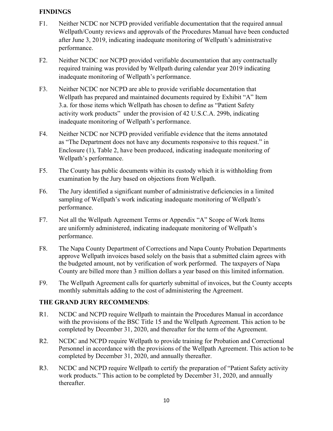## **FINDINGS**

- F1. Neither NCDC nor NCPD provided verifiable documentation that the required annual Wellpath/County reviews and approvals of the Procedures Manual have been conducted after June 3, 2019, indicating inadequate monitoring of Wellpath's administrative performance.
- F2. Neither NCDC nor NCPD provided verifiable documentation that any contractually required training was provided by Wellpath during calendar year 2019 indicating inadequate monitoring of Wellpath's performance.
- F3. Neither NCDC nor NCPD are able to provide verifiable documentation that Wellpath has prepared and maintained documents required by Exhibit "A" Item 3.a. for those items which Wellpath has chosen to define as "Patient Safety activity work products" under the provision of 42 U.S.C.A. 299b, indicating inadequate monitoring of Wellpath's performance.
- F4. Neither NCDC nor NCPD provided verifiable evidence that the items annotated as "The Department does not have any documents responsive to this request." in Enclosure (1), Table 2, have been produced, indicating inadequate monitoring of Wellpath's performance.
- F5. The County has public documents within its custody which it is withholding from examination by the Jury based on objections from Wellpath.
- F6. The Jury identified a significant number of administrative deficiencies in a limited sampling of Wellpath's work indicating inadequate monitoring of Wellpath's performance.
- F7. Not all the Wellpath Agreement Terms or Appendix "A" Scope of Work Items are uniformly administered, indicating inadequate monitoring of Wellpath's performance.
- F8. The Napa County Department of Corrections and Napa County Probation Departments approve Wellpath invoices based solely on the basis that a submitted claim agrees with the budgeted amount, not by verification of work performed. The taxpayers of Napa County are billed more than 3 million dollars a year based on this limited information.
- F9. The Wellpath Agreement calls for quarterly submittal of invoices, but the County accepts monthly submittals adding to the cost of administering the Agreement.

# **THE GRAND JURY RECOMMENDS**:

- R1. NCDC and NCPD require Wellpath to maintain the Procedures Manual in accordance with the provisions of the BSC Title 15 and the Wellpath Agreement. This action to be completed by December 31, 2020, and thereafter for the term of the Agreement.
- R2. NCDC and NCPD require Wellpath to provide training for Probation and Correctional Personnel in accordance with the provisions of the Wellpath Agreement. This action to be completed by December 31, 2020, and annually thereafter.
- R3. NCDC and NCPD require Wellpath to certify the preparation of "Patient Safety activity work products." This action to be completed by December 31, 2020, and annually thereafter.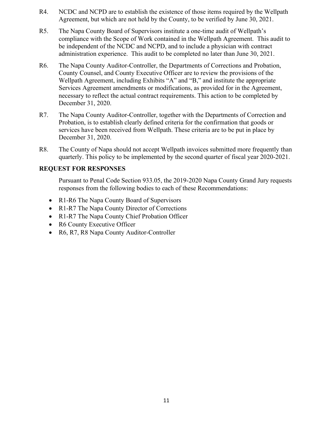- R4. NCDC and NCPD are to establish the existence of those items required by the Wellpath Agreement, but which are not held by the County, to be verified by June 30, 2021.
- R5. The Napa County Board of Supervisors institute a one-time audit of Wellpath's compliance with the Scope of Work contained in the Wellpath Agreement. This audit to be independent of the NCDC and NCPD, and to include a physician with contract administration experience. This audit to be completed no later than June 30, 2021.
- R6. The Napa County Auditor-Controller, the Departments of Corrections and Probation, County Counsel, and County Executive Officer are to review the provisions of the Wellpath Agreement, including Exhibits "A" and "B," and institute the appropriate Services Agreement amendments or modifications, as provided for in the Agreement, necessary to reflect the actual contract requirements. This action to be completed by December 31, 2020.
- R7. The Napa County Auditor-Controller, together with the Departments of Correction and Probation, is to establish clearly defined criteria for the confirmation that goods or services have been received from Wellpath. These criteria are to be put in place by December 31, 2020.
- R8. The County of Napa should not accept Wellpath invoices submitted more frequently than quarterly. This policy to be implemented by the second quarter of fiscal year 2020-2021.

# **REQUEST FOR RESPONSES**

Pursuant to Penal Code Section 933.05, the 2019-2020 Napa County Grand Jury requests responses from the following bodies to each of these Recommendations:

- R1-R6 The Napa County Board of Supervisors
- R1-R7 The Napa County Director of Corrections
- R1-R7 The Napa County Chief Probation Officer
- R6 County Executive Officer
- R6, R7, R8 Napa County Auditor-Controller